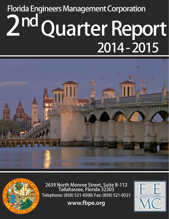# **2 nd Quarter Report Florida Engineers Management Corporation 2014 - 2015**





**2639 North Monroe Street, Suite B-112 Tallahassee, Florida 32303 Telephone: (850) 521-0500; Fax: (850) 521-0521**

**www.fbpe.org**

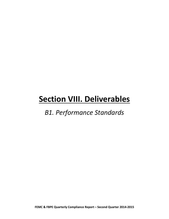### *B1. Performance Standards*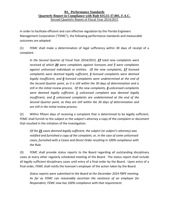In order to facilitate efficient and cost effective regulation by the Florida Engineers Management Corporation ("FEMC"), the following performance standards and measurable outcomes are adopted:

(1) FEMC shall make a determination of legal sufficiency within 30 days of receipt of a complaint.

*In the Second Quarter of Fiscal Year 2014/2015, 27 total new complaints were received of which 20 were complaints against licensees and 7 were complaints against unlicensed individuals or entities. Of the new complaints, 17 licensed complaints were deemed legally sufficient, 3 licensed complaints were deemed legally insufficient, and 0 licensed complaints were undetermined at the end of the Second Quarter point, as it is still within the 30 days of determination and is still in the initial review process. Of the new complaints, 4 unlicensed complaints were deemed legally sufficient, 1 unlicensed complaint was deemed legally insufficient, and 2 unlicensed complaints are undetermined at the end of the Second Quarter point, as they are still within the 30 days of determination and are still in the initial review process.*

(2) Within fifteen days of receiving a complaint that is determined to be legally sufficient, FEMC shall furnish to the subject or the subject's attorney a copy of the complaint or document that resulted in the initiation of the investigation.

*Of the 21 cases deemed legally sufficient, the subject (or subject's attorney) was notified and furnished a copy of the complaint, or, in the case of some unlicensed cases, furnished with a Cease and Desist Order resulting in 100% compliance with the Rule.*

(3) FEMC shall provide status reports to the Board regarding all outstanding disciplinary cases at every other regularly scheduled meeting of the Board. The status report shall include all legally sufficient disciplinary cases until entry of a final order by the Board. Upon entry of a final order, FEMC shall notify the licensee's employer of the action taken by the Board.

*Status reports were submitted to the Board at the December 2014 FBPE meeting. As far as FEMC can reasonably ascertain the existence of an employer for Respondent, FEMC now has 100% compliance with that requirement.*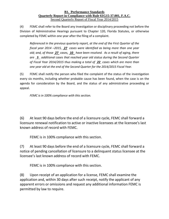(4) FEMC shall refer to the Board any investigation or disciplinary proceeding not before the Division of Administrative Hearings pursuant to Chapter 120, Florida Statutes, or otherwise completed by FEMC within one year after the filing of a complaint.

*Referenced in the previous quarterly report, at the end of the First Quarter of the fiscal year 2014 –2015, 27 cases were identified as being more than one year old; and, of those 27 cases, 10 have been resolved. As a result of aging, there are 5 additional cases that reached year old status during the Second Quarter of Fiscal Year 2014/2015 thus making a total of 22 cases which are more than one year old at the end of the Second Quarter for the 2014/2015 Fiscal Year.*

(5) FEMC shall notify the person who filed the complaint of the status of the investigation every six months, including whether probable cause has been found, when the case is on the agenda for consideration by the Board, and the status of any administrative proceeding or appeal.

*FEMC is in 100% compliance with this section.*

(6) At least 90 days before the end of a licensure cycle, FEMC shall forward a licensure renewal notification to active or inactive licensees at the licensee's last known address of record with FEMC.

FEMC is in 100% compliance with this section.

(7) At least 90 days before the end of a licensure cycle, FEMC shall forward a notice of pending cancellation of licensure to a delinquent status licensee at the licensee's last known address of record with FEMC.

FEMC is in 100% compliance with this section.

(8) Upon receipt of an application for a license, FEMC shall examine the application and, within 30 days after such receipt, notify the applicant of any apparent errors or omissions and request any additional information FEMC is permitted by law to require.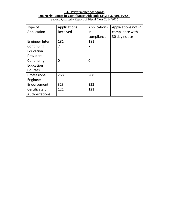| Type of         | Applications | Applications   | Applications not in |
|-----------------|--------------|----------------|---------------------|
| Application     | Received     | in             | compliance with     |
|                 |              | compliance     | 30 day notice       |
| Engineer Intern | 181          | 181            |                     |
| Continuing      | 7            | 7              |                     |
| Education       |              |                |                     |
| Providers       |              |                |                     |
| Continuing      | 0            | $\overline{0}$ |                     |
| Education       |              |                |                     |
| Courses         |              |                |                     |
| Professional    | 268          | 268            |                     |
| Engineer        |              |                |                     |
| Endorsement     | 323          | 323            |                     |
| Certificate of  | 121          | 121            |                     |
| Authorizations  |              |                |                     |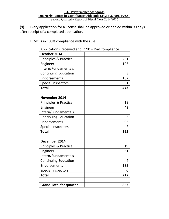(9) Every application for a license shall be approved or denied within 90 days after receipt of a completed application.

FEMC is in 100% compliance with the rule.

| Applications Received and in 90 - Day Compliance |             |
|--------------------------------------------------|-------------|
| October 2014                                     |             |
| <b>Principles &amp; Practice</b>                 | 231         |
| Engineer                                         | 106         |
| Intern/Fundamentals                              |             |
| <b>Continuing Education</b>                      | 3           |
| Endorsements                                     | 132         |
| <b>Special Inspectors</b>                        | $\mathbf 1$ |
| <b>Total</b>                                     | 473         |
|                                                  |             |
| November 2014                                    |             |
| Principles & Practice                            | 19          |
| Engineer                                         | 42          |
| Intern/Fundamentals                              |             |
| <b>Continuing Education</b>                      | 3           |
| Endorsements                                     | 96          |
| <b>Special Inspectors</b>                        | 2           |
| <b>Total</b>                                     | 162         |
|                                                  |             |
| December 2014                                    |             |
| <b>Principles &amp; Practice</b>                 | 19          |
| Engineer                                         | 61          |
| Intern/Fundamentals                              |             |
| <b>Continuing Education</b>                      | 4           |
| Endorsements                                     | 133         |
| <b>Special Inspectors</b>                        | 0           |
| <b>Total</b>                                     | 217         |
|                                                  |             |
| <b>Grand Total for quarter</b>                   | 852         |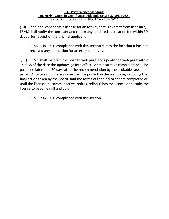(10) If an applicant seeks a license for an activity that is exempt from licensure, FEMC shall notify the applicant and return any tendered application fee within 30 days after receipt of the original application.

FEMC is in 100% compliance with this section due to the fact that it has not received any application for an exempt activity.

(11) FEMC shall maintain the Board's web page and update the web page within 14 days of the date the updates go into effect. Administrative complaints shall be posed no later than 30 days after the recommendation by the probable cause panel. All active disciplinary cases shall be posted on the web page, including the final action taken by the Board until the terms of the final order are completed or until the licensee becomes inactive, retires, relinquishes the license or permits the license to become null and void.

FEMC is in 100% compliance with this section.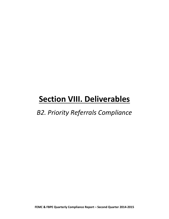### *B2. Priority Referrals Compliance*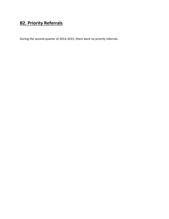### **B2. Priority Referrals**

During the second quarter of 2014-2015, there were no priority referrals.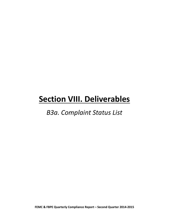### *B3a. Complaint Status List*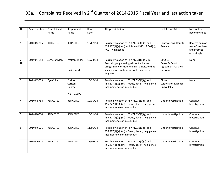| No.      | Case Number | Complainant<br>Name | Respondent<br>Name                             | Received<br>Date | Alleged Violation                                                                                                                                                                                       | Last Action Taken                                               | <b>Next Action</b><br>Recommended                                |
|----------|-------------|---------------------|------------------------------------------------|------------------|---------------------------------------------------------------------------------------------------------------------------------------------------------------------------------------------------------|-----------------------------------------------------------------|------------------------------------------------------------------|
| 1.       | 2014042285  | <b>REDACTED</b>     | REDACTED                                       | 10/07/14         | Possible violation of FS 471.033(1)(g) and<br>455.227(1)(a), (m) and Rule 61G15-19.001(4),<br>FAC - Negligence                                                                                          | Sent to Consultant for<br>Review                                | Receive opinion<br>from Consultant<br>and proceed<br>accordingly |
| 2.<br>UL | 2014044654  | Jerry Johnson       | Welton, Wiley<br>L.<br>Unlicensed              | 10/23/14         | Possible violation of FS 471.031(1)(a), (b) -<br>Practicing engineering without a license or<br>using a name or title tending to indicate that<br>such person holds an active license as an<br>engineer | $CLOSED -$<br>Cease & Desist<br>Agreement reached -<br>Informal | None                                                             |
| 3.       | 2014045529  | Cye Cohen           | Forbes,<br>Carlton<br>George<br>$P.E. - 20699$ | 10/29/14         | Possible violation of FS 471.033(1)(g) and<br>455.227(1)(a), (m) - Fraud, deceit, negligence,<br>incompetence or misconduct                                                                             | Closed<br>Witness or evidence<br>unavailable                    | None                                                             |
| 4.       | 2014045758  | <b>REDACTED</b>     | REDACTED                                       | 10/30/14         | Possible violation of FS 471.033(1)(g) and<br>$455.227(1)(a)$ , (m) - Fraud, deceit, negligence,<br>incompetence or misconduct                                                                          | Under Investigation                                             | Continue<br>Investigation                                        |
| 5.       | 2014046334  | <b>REDACTED</b>     | REDACTED                                       | 10/31/14         | Possible violation of FS 471.033(1)(g) and<br>$455.227(1)(a)$ , (m) - Fraud, deceit, negligence,<br>incompetence or misconduct                                                                          | Under Investigation                                             | Continue<br>Investigation                                        |
| 6.       | 2014046926  | <b>REDACTED</b>     | REDACTED                                       | 11/05/14         | Possible violation of FS 471.033(1)(g) and<br>455.227(1)(a), (m) - Fraud, deceit, negligence,<br>incompetence or misconduct                                                                             | Under Investigation                                             |                                                                  |
| 7.       | 2014046928  | <b>REDACTED</b>     | <b>REDACTED</b>                                | 11/05/14         | Possible violation of FS 471.033(1)(g) and<br>$455.227(1)(a)$ , (m) - Fraud, deceit, negligence,<br>incompetence or misconduct                                                                          | Under Investigation                                             | Continue<br>Investigation                                        |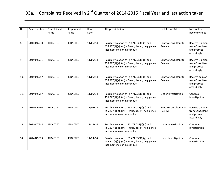| No. | Case Number | Complainant<br>Name | Respondent<br>Name | Received<br>Date | Alleged Violation                                                                                                                                                  | Last Action Taken                | <b>Next Action</b><br>Recommended                                |
|-----|-------------|---------------------|--------------------|------------------|--------------------------------------------------------------------------------------------------------------------------------------------------------------------|----------------------------------|------------------------------------------------------------------|
| 8.  | 2014046930  | <b>REDACTED</b>     | REDACTED           | 11/05/14         | Possible violation of FS 471.033(1)(g) and<br>$455.227(1)(a)$ , (m) - Fraud, deceit, negligence,<br>incompetence or misconduct                                     | Sent to Consultant for<br>Review | Receive Opinion<br>from Consultant<br>and proceed<br>accordingly |
| 9.  | 2014046931  | <b>REDACTED</b>     | <b>REDACTED</b>    | 11/05/14         | Possible violation of FS 471.033(1)(g) and<br>Sent to Consultant for<br>$455.227(1)(a)$ , (m) - Fraud, deceit, negligence,<br>Review<br>incompetence or misconduct |                                  | Receive Opinion<br>from Consultant<br>and proceed<br>accordingly |
| 10. | 2014046947  | <b>REDACTED</b>     | REDACTED           | 11/05/14         | Possible violation of FS 471.033(1)(g) and<br>$455.227(1)(a)$ , (m) - Fraud, deceit, negligence,<br>incompetence or misconduct                                     | Sent to Consultant for<br>Review | Receive opinion<br>from Consultant<br>and proceed<br>accordingly |
| 11. | 2014046957  | <b>REDACTED</b>     | REDACTED           | 11/05/14         | Possible violation of FS 471.033(1)(g) and<br>$455.227(1)(a)$ , (m) - Fraud, deceit, negligence,<br>incompetence or misconduct                                     | Under Investigation              | Continue<br>Investigation                                        |
| 12. | 2014046960  | <b>REDACTED</b>     | REDACTED           | 11/05/14         | Possible violation of FS 471.033(1)(g) and<br>455.227(1)(a), (m) - Fraud, deceit, negligence,<br>incompetence or misconduct                                        | Sent to Consultant For<br>Review | Receive Opinion<br>from Consultant<br>and proceed<br>accordingly |
| 13. | 2014047544  | <b>REDACTED</b>     | REDACTED           | 11/12/14         | Possible violation of FS 471.033(1)(g) and<br>455.227(1)(a), (m) - Fraud, deceit, negligence,<br>incompetence or misconduct                                        | Under Investigation              | Continue<br>Investigation                                        |
| 14. | 2014049083  | <b>REDACTED</b>     | REDACTED           | 11/24/14         | Possible violation of FS 471.033(1)(g) and<br>455.227(1)(a), (m) - Fraud, deceit, negligence,<br>incompetence or misconduct                                        | Under Investigation              | Continue<br>Investigation                                        |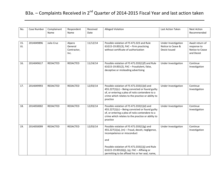| Case Number | Complainant<br>Name | Respondent<br>Name                       | Date     |                                                                                                                                                                                                                    | Last Action Taken                                                                                                         | <b>Next Action</b><br>Recommended                               |
|-------------|---------------------|------------------------------------------|----------|--------------------------------------------------------------------------------------------------------------------------------------------------------------------------------------------------------------------|---------------------------------------------------------------------------------------------------------------------------|-----------------------------------------------------------------|
| 2014049896  | Julio Cruz          | Alpero<br>General<br>Contractor,<br>Inc. | 11/12/14 | Possible violation of FS 471.023 and Rule<br>61G15-19.001(3), FAC - Firm practicing<br>without certificate of authorization                                                                                        | Under Investigation<br>Notice to Cease &<br>Desist Issued                                                                 | Await return of<br>response to<br>Notice to Cease<br>and Desist |
| 2014049617  | REDACTED            | REDACTED                                 | 11/24/14 | Possible violation of FS 471.033(1)(f) and Rule<br>61G15-19.001(2), FAC - Fraudulent, false,<br>deceptive or misleading advertising                                                                                | Under Investigation                                                                                                       | Continue<br>Investigation                                       |
| 2014049993  | <b>REDACTED</b>     | <b>REDACTED</b>                          | 12/03/14 | Possible violation of FS 471.033(1)(d) and<br>$455.227(1)(c)$ – Being convicted or found guilty<br>of, or entering a plea of nolo contendere to a<br>crime which relates to the practice or ability to<br>practice | Under Investigation                                                                                                       | Continue<br>Investigation                                       |
| 2014050002  | REDACTED            | REDACTED                                 | 12/03/14 | Possible violation of FS 471.033(1)(d) and<br>$455.227(1)(c)$ - Being convicted or found guilty<br>of, or entering a plea of nolo contendere to a<br>crime which relates to the practice or ability to<br>practice | Under Investigation                                                                                                       | Continue<br>Investigation                                       |
| 2014050099  | <b>REDACTED</b>     | <b>REDACTED</b>                          | 12/03/14 | Possible violation of FS 471.033(1)(g) and<br>$455.227(1)(a)$ , (m) - Fraud, deceit, negligence,<br>incompetence or misconduct<br>and<br>Possible violation of FS 471.033(1)(j) and Rule                           | Under Investigation                                                                                                       | Continue<br>Investigation                                       |
|             |                     |                                          |          | Received                                                                                                                                                                                                           | <b>Alleged Violation</b><br>61G15-19.001(6)(j), (q), FAC - Affixing or<br>permitting to be affixed his or her seal, name, |                                                                 |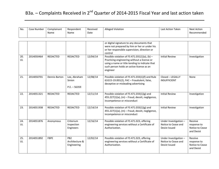| No.       | Case Number | Complainant<br>Name | Respondent<br>Name                               | Received<br>Date | <b>Alleged Violation</b>                                                                                                                                                                                                         | Last Action Taken                                             | <b>Next Action</b><br>Recommended                       |
|-----------|-------------|---------------------|--------------------------------------------------|------------------|----------------------------------------------------------------------------------------------------------------------------------------------------------------------------------------------------------------------------------|---------------------------------------------------------------|---------------------------------------------------------|
|           |             |                     |                                                  |                  | or digital signature to any documents that<br>were not prepared by him or her or under his<br>or her responsible supervision, direction or<br>control                                                                            |                                                               |                                                         |
| 20.<br>UL | 2014050464  | <b>REDACTED</b>     | <b>REDACTED</b>                                  | 12/04/14         | Possible violation of FS 471.031(1)(a), (b) -<br><b>Initial Review</b><br>Practicing engineering without a license or<br>using a name or title tending to indicate that<br>such person holds an active license as an<br>engineer |                                                               | Investigation                                           |
| 21.       | 2014050701  | Dennis Barton       | Lee, Abraham<br>Sinion<br>$P.E. - 56359$         | 12/08/14         | Possible violation of FS 471.033(1)(f) and Rule<br>61G15-19.001(2), FAC - Fraudulent, false,<br>deceptive or misleading advertising                                                                                              | Closed - LEGALLY<br><b>INSUFFICIENT</b>                       | None                                                    |
| 22.       | 2014051321  | <b>REDACTED</b>     | REDACTED                                         | 12/11/14         | Possible violation of FS 471.033(1)(g) and<br>455.227(1)(a), (m) - Fraud, deceit, negligence,<br>incompetence or misconduct                                                                                                      | <b>Initial Review</b>                                         | Investigation                                           |
| 23.       | 2014051938  | <b>REDACTED</b>     | REDACTED                                         | 12/14/14         | Possible violation of FS 471.033(1)(g) and<br>455.227(1)(a), (m) - Fraud, deceit, negligence,<br>incompetence or misconduct                                                                                                      | <b>Initial Review</b>                                         | Investigation                                           |
| 24.<br>UL | 2014051876  | Anonymous           | Criterium<br>Inspection<br>Engineers             | 12/16/14         | Possible violation of FS 471.023, offering<br>Under Investigation -<br>engineering services without a Certificate of<br>Notice to Cease and<br>Authorization.<br>Desist Issued                                                   |                                                               | Receive<br>response to<br>Notice to Cease<br>and Desist |
| 25.<br>UL | 2014051892  | <b>FBPE</b>         | PB <sub>2</sub><br>Architecture &<br>Engineering | 12/02/14         | Possible violation of FS 471.023, offering<br>engineering services without a Certificate of<br>Authorization.                                                                                                                    | Under Investigation -<br>Notice to Cease and<br>Desist Issued | Receive<br>response to<br>Notice to Cease<br>and Desist |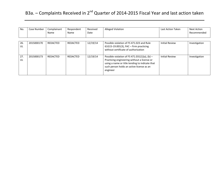| No.       | Case Number | Complainant<br>Name | Respondent<br>Name | Received<br>Date | <b>Alleged Violation</b>                                                                                                                                                                                  | Last Action Taken     | Next Action<br>Recommended |
|-----------|-------------|---------------------|--------------------|------------------|-----------------------------------------------------------------------------------------------------------------------------------------------------------------------------------------------------------|-----------------------|----------------------------|
| 26.<br>UL | 2015000170  | REDACTED            | REDACTED           | 12/19/14         | Possible violation of FS 471,023 and Rule<br>$61G15-19.001(3)$ , FAC – Firm practicing<br>without certificate of authorization                                                                            | <b>Initial Review</b> | Investigation              |
| 27.<br>UL | 2015000173  | REDACTED            | REDACTED           | 12/19/14         | Possible violation of FS 471.031(1)(a), (b) $-$<br>Practicing engineering without a license or<br>using a name or title tending to indicate that<br>such person holds an active license as an<br>engineer | <b>Initial Review</b> | Investigation              |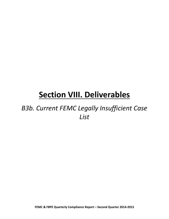### *B3b. Current FEMC Legally Insufficient Case List*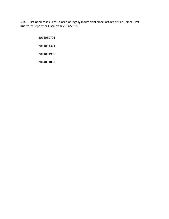B3b. List of all cases FEMC closed as legally insufficient since last report; i.e., since First Quarterly Report for Fiscal Year 2014/2015:

>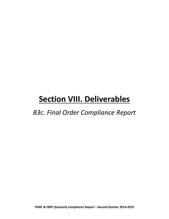### *B3c. Final Order Compliance Report*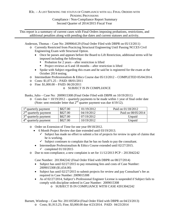This report is a summary of current cases with Final Orders imposing probations, restrictions, and additional penalties along with pending due dates and current statuses and activity.

Anderson, Thomas – Case No: 2009064129 (Final Order Filed with DBPR on 05/13/2011)

- o Currently Restricted from Practicing Structural Engineering Until Passing NCCES Civil Engineering Exam with Structural Option.
	- Once he passes and appears before the Board to Lift Restriction, additional terms will be imposed including the following:
		- Probation for 2 years after restriction is lifted
		- Project reviews at 6 and 18 months after restriction is lifted
	- Spoke with Subject regarding this exam and he said he is registered for the exam at the October 2014 testing.
- o Intermediate Professionalism & Ethics Course due 05/13/2012 COMPLETED 05/04/2014.
- o Costs: \$1,071.25 PAID: 08/01/2011
- o Fine: \$1,000.00 PAID: 06/20/2011

#### o SUBJECT IS IN COMPLIANCE

Banks, Julio – Case No: 2009015308 (Final Order Filed with DBPR on 10/19/2011)

 $\circ$  Costs due = 10/19/2012 – quarterly payments to be made within 1 year of final order date (Note: sent reminder letter that  $2<sup>nd</sup>$  quarter payment was due 4/19/12).

| $1st$ quarterly payment                      | \$827.00 | 01/19/2012 | Paid on 01/18/2012 |
|----------------------------------------------|----------|------------|--------------------|
| $2^{nd}$<br>quarterly payment                | \$827.00 | 04/19/2012 | Paid on 08/05/2014 |
| 2rd<br>quarterly payment                     | \$827.00 | 07/19/2012 | Unpaid             |
| $\varDelta^{\text{th}}$<br>quarterly payment | \$827.00 | 10/19/2012 | Unpaid             |

- o Order on Extension of Time for one year 09/18/2012.
	- 6 Month Project Review due date extended until 03/19/2013.
		- $\checkmark$  Subject has made no effort to submit a list of projects for review in spite of claims that he is working.
		- $\checkmark$  Subject continues to complain that he has no funds to pay the consultant.
	- Intermediate Professionalism & Ethics Course extended until 02/27/2015.  $\checkmark$  completed 01/10/2015
- o Due to non-compliance, a new complaint is set for 11/12/2013 PCP 2013042242

Case Number: 2013042242 (Final Order Filed with DBPR on 08/27/2014)

- Subject has until 02/27/2015 to pay remaining fees and costs of Case Number: 2009015308 (\$1,654.00)
- Subject has until 02/27/2015 to submit projects for review and pay Consultant's fee as required in Case Number: 2009015308
- As of 02/27/2014, Subject's Professional Engineer License is suspended if Subject fails to comply with discipline ordered in Case Number: 2009015308
	- o SUBJECT IS IN COMPLIANCE WITH CASE #2013042242

Barnett, Winthrop – Case No: 2011055854 (Final Order Filed with DBPR on 04/23/2013) o Costs; \$1,913.25; Fine; \$3,000.00 due 4/23/2014. PAID: 04/23/2014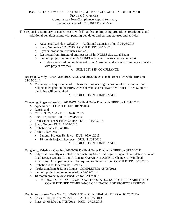This report is a summary of current cases with Final Orders imposing probations, restrictions, and additional penalties along with pending due dates and current statuses and activity.

- $\circ$  Advanced P&E due 4/23/2014. Additional extension of until 01/03/2015.
- o Study Guide due 5/23/2013. COMPLETED: 06/15/2013.
- o 2 years' probation terminates 4/23/2015
- o Restricted from Structural until passes 16 hr. NCEES Structural Exam
- o 6 month project review due 10/23/2013. finished due to a favorable report
	- Subject received favorable report from Consultant and a refund of money so finished with project reviews.
		- o SUBJECT IS IN COMPLIANCE

Bruseski, Wendy – Case Nos: 2012052732 and 2013028825 (Final Order Filed with DBPR on 04/15/2014)

o Voluntary Relinquishment of Professional Engineering License until further notice and Subject must petition the FBPE when she wants to reactivate her license. Then Subject's discipline will be required

o SUBJECT IS IN COMPLIANCE

Chewning, Roger – Case No: 2013027115 (Final Order Filed with DBPR on 11/04/2014)

- o Appearance COMPLETED: 10/09/2014
- o Reprimand
- o Costs: \$3,290.00 DUE: 02/04/2015
- o Fine: \$2,000.00 DUE: 02/04/2014
- o Professionalism & Ethics Course DUE: 11/04/2016
- o Study Guide DUE: 11/04/2016
- o Probation ends 11/04/2016
- o Projects Reviews
	- 6 month Projects Reviews DUE: 05/04/2015
	- 18 month Projects Reviews DUE: 11/04/2016

#### o SUBJECT IS IN COMPLIANCE

Daugherty, Kristina – Case No: 2010059945 (Final Order Filed with DBPR on 08/17/2011)

- o Subject is currently restricted from practicing Structural engineering until completion of Wind Load Design Criteria II, and A General Overview of ASCE-17 Changes to Windload Provisions. An appearance will be required to lift restriction. COMPLETED: 3/20/2013.
- o Probation is set to terminate: 08/17/2013.
- o Professionalism & Ethics Course. COMPLETED: 08/06/2012
- o 6 month project review scheduled for 02/17/2012
- o 18 month project review scheduled for 02/17/2013
	- o SUBJECT'S LICENSE IS ON INACTIVE STATUS DUE TO HER INABILITY TO COMPLETE HER COMPLIANCE OBLIGATION OF PROJECT REVIEWS

Dominguez, José – Case No: 2012002508 (Final Order Filed with DBPR on 06/25/2013)

- o Costs: \$1,000.00 due 7/25/2013 PAID: 07/25/2013.
- o Fines:  $$4,665.00$  due  $7/25/2013 PAID$ :  $07/25/2013$ .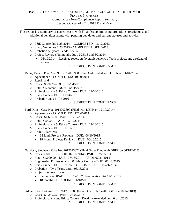This report is a summary of current cases with Final Orders imposing probations, restrictions, and additional penalties along with pending due dates and current statuses and activity.

- o P&E Course due 6/25/2014. COMPLETED: 11/17/2013
- o Study Guide due 7/25/2013 COMPLETED: 08/11/2013.
- $\degree$  Probation (2) years ends 06/25/2015
- o Project Review 6/18 months due 12/25/13 and 6/2/2014.
	- $\bullet$  05/10/2014 Received report on favorable reviews of both projects and a refund of money
		- o SUBJECT IS IN COMPLIANCE

Denis, Faustin F. – Case No: 2012003998 (Final Order Filed with DBPR on 11/04/2014)

- o Appearance COMPLETED: 10/09/2014
- o Reprimand
- o Costs: \$380.25 DUE: 05/04/2015
- o Fine: \$1,000.00 DUE: 05/04/2015
- o Professionalism & Ethics Course DUE: 11/04/2016
- o Study Guide DUE: 11/04/2016
- o Probation ends 11/04/2016

#### o SUBJECT IS IN COMPLIANCE

Ford, Kim – Case No: 2014002899 (Filed with DBPR on 12/10/2014)

- o Appearance COMPLETED: 12/04/2014
- o Costs: \$1,600.00 PAID: 12/10/2014
- o Fine: \$500.00 PAID: 12/10/2014
- o Professionalism & Ethics Course DUE: 12/10/2015
- o Study Guide DUE: 01/10/2015
- o Projects Reviews
	- 6 Month Projects Reviews DUE: 06/10/2015
	- 18 Month Projects Reviews DUE: 06/10/2015

#### o SUBJECT IS IN COMPLIANCE

Gaydosh, Stephen – Case No: 2012013872 (Final Order Filed with DBPR on 06/18/2014)

- o Costs \$8,072.97 DUE: 07/18/2014 PAID: 07/21/2014
- o Fine \$4,000.00 DUE; 07/18/2014 PAID: 07/21/2014
- o Engineering Professionalism & Ethics Course DUE: 06/18/2015
- o Study Guide DUE: 07/18/2014 COMPLETED: 07/21/2014
- o Probation Two Years, until: 06/18/2016
- o Project Reviews: Two
	- 6 months DEADLINE:  $12/18/2014$  received list  $12/18/2014$
	- $\bullet$  18 months DEADLINE: 06/18/2015

#### o SUBJECT IS IN COMPLIANCE

Gildart, David – Case No.: 2012011280 (Final Order Filed with DBPR on 10/14/2013) o Costs: \$3,255.75 – PAID: 07/02/2014

- o Professionalism and Ethics Course Deadline extended until 04/14/2015
	- o SUBJECT IS IN COMPLIANCE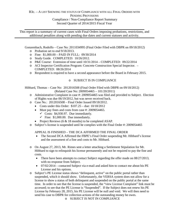This report is a summary of current cases with Final Orders imposing probations, restrictions, and additional penalties along with pending due dates and current statuses and activity.

Gonzembach, Rodolfo – Case No: 2011034995 (Final Order Filed with DBPR on 09/18/2012)

- o Probation set to end 9/18/2013.
- o Fine: \$1,000.00 PAID IN FULL: 09/30/2014
- o Study Guide. COMPLETED: 10/26/2012.
- o P&E Course: Extension of time until 10/31/2014 COMPLETED: 09/22/2014
- o ACI Inspector Certification Program: Concrete Construction Special Inspector. COMPLETED: 08/26/2014
- o Respondent is required to have a second appearance before the Board in February 2015.

#### o SUBJECT IS IN COMPLIANCE

Hibbard, Thomas – Case No: 2012016508 (Final Order Filed with DBPR on 09/18/2012) (Related Case No: 2009054465 – 101/20/2011)

- o Administrative Complaint in case #: 2009054465 was filed and provided to Subject. Election of Rights was due 06/19/2012, but was never received back.
- o Case No.: 2012016508 Final Order Issued 09/18/2012.
	- Costs under this Order:  $$107.25 due: 10/18/2012$
	- Must pay fines and costs from case #: 2009054465.
		- $\checkmark$  Costs: \$4,930.97. Due immediately.
		- $\checkmark$  Fine: \$1,000.00. Due immediately.
	- Project Reviews (6 & 18 months) to be completed ASAP.
- o Subject's license is suspended until he complies with the Final Order #: 2009054465

#### APPEAL IS FINISHED – THE DCA AFFIRMED THE FINAL ORDER

- The Second DCA Affirmed the FBPE's Final Order suspending Mr. Hibbard's license and the assessment of a fine and costs to Mr. Hibbard.
- o On August 27, 2013, Mr. Rimes sent a letter attaching a Settlement Stipulation for Mr. Hibbard to sign to relinquish his license permanently and not be required to pay the fine and costs.
	- There have been attempts to contact Subject regarding the offer made on 08/27/2013, with no response from Subject.
	- $07/02/2014$  contacted Subject via e-mail and asked him to contact me about his PE License and his options.
- o Subject's PE License status shows "delinquent, active" on the public portal rather than suspended, which it should show. Unfortunately, the VERSA system does not allow for a license to show a status of both delinquent and suspended on the public portal at the same time. In order to see that the license is suspended, the "view License Complaint" link must be accessed; to see that the PE License is "Suspended". If the Subject does not renew his PE License by February 28, 2015, his PE License will be null and void. We will then need to send his case to DBPR for collection actions of the outstanding money he owes.
	- o SUBJECT IS NOT IN COMPLIANCE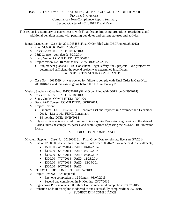This report is a summary of current cases with Final Orders imposing probations, restrictions, and additional penalties along with pending due dates and current statuses and activity.

James, Jacqueline – Case No: 2011048483 (Final Order Filed with DBPR on 06/25/2013)

- o Fine: \$1,000.00. PAID: 10/06/2013.
- o Costs: \$2,390.00. PAID: 10/06/2013.
- o P&E Course completed: 6/20/2014.
- o Study Guide. COMPLETED: 12/05/2013
- o Project review 6 & 18 Months due 12/25/2013:6/25/2015.
	- Subject sent plans to FEMC Consultant, Roger Jeffery, for 2 projects. One project was determined sufficient, the second project was determined insufficient. o SUBJECT IS NOT IN COMPLIANCE
- o Case No: 2014039414 was opened for failure to comply with Final Order in Case No.: 2011048483; and this case is going before the PCP in January 2015.

Maslan, Stephen – Case No: 2013026181 (Final Order Filed with DBPR on 04/29/2014)

- o Costs: \$1,126.50. PAID: 12/18/2013
- o Study Guide: COMPLETED: 05/01/2014
- o Basic P&E Course: COMPLETED: 06/18/2014.
- o Project Reviews:
	- 6 months: DUE: 10/29/2014 Received List and Payment in November and December 2014. – List is with FEMC Consultant.
	- 18 months: DUE: 10/29/2014
- o Subject's License is restricted from practicing any Fire Protection engineering in the state of Florida unless he completes, passes, and submits proof of passing the NCEES Fire Protection Exam.

#### o SUBJECT IS IN COMPLIANCE

Mitchell, Stephen – Case No: 2013026181 – Final Order Date to reinstate licensure 3/7/2014

- o Fine of \$2,000.00 due within 6 months of final order: 09/07/2014 (to be paid in installments)
	- $$500.00 4/07/2014 PAID: 04/07/2014$
	- $$300,00 5/07/2014 PAID: 05/12/2014$
	- $$300.00 6/07/2014 PAID: 06/07/2014$
	- $$300.00 7/07/2014 PAID: 11/28/2014$
	- $$300.00 8/07/2014 PAID: 12/29/2014$
	- $$300.00 9/07/2014 PAID:$
- o STUDY GUIDE COMPLETED 09/24/2013
- o Project Reviews two required
	- First one completion in 12 Months: 03/07/2015
	- Second one completion in 24 Months: 03/07/2016
- o Engineering Professionalism & Ethics Course successful completion: 03/07/2015
- o Probation Ends (if discipline is adhered to and successfully completed): 03/07/2016
	- o SUBJECT IS IN COMPLIANCE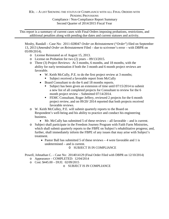This report is a summary of current cases with Final Orders imposing probations, restrictions, and additional penalties along with pending due dates and current statuses and activity.

Mosby, Randall – Case No: 2011-028047 *Order on Reinstatement* ("*Order*") filed on September 13, 2013 (*Amended Order on Reinstatement* Filed – due to scrivener's error – with DBPR on 05/09/2014).

- o License Reinstated as of August 15, 2013.
- o License on Probation for two (2) years 09/13/2015.
- o Three (3) Project Reviews: At 3 months, 6 months, and 18 months, with the ability for early termination if both the 3 month and 6 month project reviews are favorable.
	- W. Keith McCully, P.E. to do the first project review at 3 months;
		- Subject received a favorable report from McCully
	- Board Consultant to do the 6 and 18 months reports.
		- Subject has been given an extension of time until 07/15/2014 to submit a new list of all completed projects for Consultant to review for the 6 month project review – Submitted 07/14/2014.
		- **FEMC** Consultant, Roger Jeffery, reviewed 2 projects for the 6 month project review, and on 09/20/ 2014 reported that both projects received favorable reviews.

o W. Keith McCulley, P.E. will submit quarterly reports to the Board on Respondent's well-being and his ability to practice and conduct his engineering business.

- Mr. McCully has submitted 5 of these reviews all favorable and is current.
- o Subject shall participate in the Freedom Journey Program with Faith Farm Ministries, which shall submit quarterly reports to the FBPE on Subject's rehabilitative progress; and, further, shall immediately inform the FBPE of any issues that may arise with Subject's treatment.
	- Pastor Ball has submitted 5 of these reviews 4 were favorable and 1 is undetermined – and is current.

O SUBJECT IS IN COMPLIANCE

Powell, Johnathan C. – Case No: 2014014129 (Final Order Filed with DBPR on 12/10/2014)

- o Appearance COMPLETED: 12/04/2014
- o Cost: \$445.00 DUE: 02/09/2015

o SUBJECT IS IN COMPLIANCE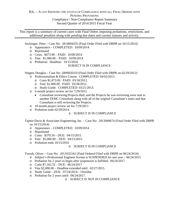This report is a summary of current cases with Final Orders imposing probations, restrictions, and additional penalties along with pending due dates and current statuses and activity.

Seckinger, Peter – Case No: 2014004355 (Final Order Filed with DBPR on 10/15/2014)

- o Appearance COMPLETED: 10/09/2014
- o Reprimand
- o Costs: \$473.98 PAID: 10/09/2014
- o Fine: \$1,000.00 PAID: 10/09/2014
- o Probation: Deadline: 10/15/2016

#### SUBJECT IS IN COMPLIANCE

Stitgen, Douglas – Case No: 2009050310 (Final Order Filed with DBPR on 02/29/2012)

- o Professionalism & Ethics Course. COMPLETED: 04/03/2013.
	- o Costs \$1,073.00. PAID: 03/18/2012.
	- o Fine: \$1,000.00. PAID: 03/28/2012.
	- o Study Guide. COMPLETED: 03/21/2013.
- o 6 month project review set for 7/29/2012.
	- Consultant reviewing Projects died; and the Projects he was reviewing were sent to another FEMC Consultant along with all of the original Consultant's notes and that Consultant is still reviewing the Projects.
- o 18 month project review set for 7/29/2013
- o Probation ends 02/29/2014.

#### o SUBJECT IS IN COMPLIANCE

Tajmir-Davis & Associates Engineering, Inc. – Case No: 2013049674 (Final Order Filed with DBPR on 10/15/2014)

- o Appearance COMPLETED: 10/09/2014
- o Reprimand
- o Costs: \$370.50 DUE: 04/15/2015
- o Fine: \$5,000.00 DUE: 04/15/2015
- o Probation ends 10/15/2016

#### o SUBJECT IS IN COMPLIANCE

Turzak, Oliver – Case No: 2011032162 (Final Ordered Filed with DBPR on 06/24/2014)

- o Subject's Professional Engineer license is SUSPENDED for one year 06/24/2015.
- o Probation for 2 years to begin after suspension is fulfilled: 06/24/2017.
- o Costs \$7,162.32 DUE: 06/24/2017
- $\circ$  Fine \$2,000.00 Deadline extended until: 02/27/2015.
- o Study Guide DUE: 07/24/2014 Overdue.
- o Probation for 2 years until: 06/24/2017.

#### o SUBJECT IS NOT IN COMPLIANCE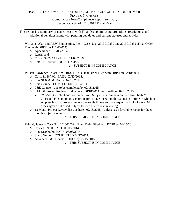This report is a summary of current cases with Final Orders imposing probations, restrictions, and additional penalties along with pending due dates and current statuses and activity.

Williams, Alan and ABW Engineering, Inc. – Case Nos: 2013019830 and 2013019832 (Final Order Filed with DBPR on 11/04/2014)

- $\degree$  Appearance 10/09/2014
- o Reprimand
- o Costs: \$2,292.15 DUE: 11/04/2016
- o Fine: \$5,000.00 DUE: 11/04/2016

#### o SUBJECT IS IN COMPLIANCE

Wilson, Lawrence – Case No: 2013011573 (Final Order Filed with DBPR on 02/18/2014)

- o Costs \$1,387.00. PAID: 02/13/2014.
- o Fine \$1,000.00. PAID: 02/13/2014.
- o Study Guide COMPLETED 03/12/2014.
- o P&E Course due to be completed by 02/18/2015.
- o 6 Month Project Review list due here: 08/18/2014 new deadline: 02/18/2015
	- 07/05/2014 Telephone conference with Subject wherein he requested from both Mr. Rimes and F/O compliance coordinator to have the 6 months extension of time in which to complete his first projects review due to his illness and, consequently, lack of work Mr. Rimes agreed but asked Subject to send his request in writing.
- o 18 Month Project Review list due here: 02/18/2015 unless has a favorable report for the 6 month Project Review

#### o THIS SUBJECT IS IN COMPLIANCE

Zaleski, James – Case No: 2013000391 (Final Order Filed with DBPR on 04/15/2014)

- o Costs \$159.00. PAID: 05/05/2014.
- o Fine \$1,000.00. PAID: 05/05/2014.
- o Study Guide. COMPLETED 04/172014.
- o Advanced P&E Course DUE: by 05/15/2015.

o THIS SUBJECT IS IN COMPLIANCE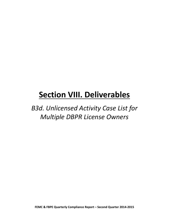*B3d. Unlicensed Activity Case List for Multiple DBPR License Owners*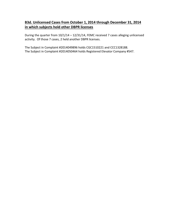#### **B3d. Unlicensed Cases from October 1, 2014 through December 31, 2014 in which subjects hold other DBPR licenses**

During the quarter from 10/1/14 – 12/31/14, FEMC received 7 cases alleging unlicensed activity. Of those 7 cases, 2 held another DBPR licenses.

The Subject in Complaint #2014049896 holds CGC1510221 and CCC1328188. The Subject in Complaint #2014050464 holds Registered Elevator Company #547.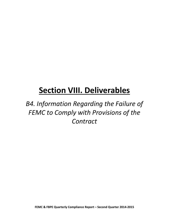*B4. Information Regarding the Failure of FEMC to Comply with Provisions of the Contract*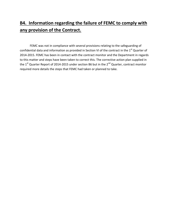### **B4. Information regarding the failure of FEMC to comply with any provision of the Contract.**

FEMC was not in compliance with several provisions relating to the safeguarding of confidential data and information as provided in Section VI of the contract in the 1<sup>st</sup> Quarter of 2014-2015. FEMC has been in contact with the contract monitor and the Department in regards to this matter and steps have been taken to correct this. The corrective action plan supplied in the  $1<sup>st</sup>$  Quarter Report of 2014-2015 under section B6 but in the  $2<sup>nd</sup>$  Quarter, contract monitor required more details the steps that FEMC had taken or planned to take.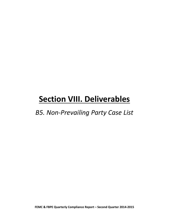*B5. Non-Prevailing Party Case List*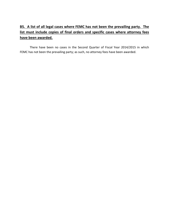#### **B5. A list of all legal cases where FEMC has not been the prevailing party. The list must include copies of final orders and specific cases where attorney fees have been awarded.**

There have been no cases in the Second Quarter of Fiscal Year 2014/2015 in which FEMC has not been the prevailing party; as such, no attorney fees have been awarded.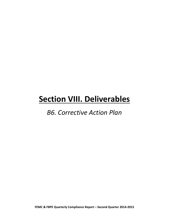### *B6. Corrective Action Plan*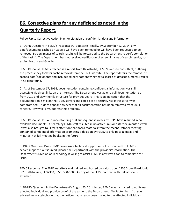### **B6. Corrective plans for any deficiencies noted in the Quarterly Report.**

Follow Up to Corrective Action Plan for violation of confidential data and information:

1. DBPR Question: In FEMC's response #2, you state" Finally, by September 12, 2014, any data/documents cached on Google will have been removed or will have been requested to be removed. Screen images of search results will be forwarded to the Department to verify completion of the tasks". The Department has not received verification of screen images of search results, such as Archive.org and Google.

FEMC Response: FEMC attached is a report from Halostrobe, FEMC's website consultant, outlining the process they took for cache removal from the FBPE website. The report details the removal of cached data/documents and includes screenshots showing that a search of data/documents results in no data found.

2. As of September 17, 2014, documentation containing confidential information was still accessible via direct links on the Internet. The Department was able to pull documentation up from 2010 and view the file structure for previous years. This is an indication that the documentation is still on the FEMC servers and could pose a security risk if the server was compromised. It does appear however that all documentation has been removed from 2011 forward. How will FEMC address this problem?

FEMC Response: It is our understanding that subsequent searches by DBPR have resulted in no available documents. A search by FEMC staff resulted in no active links or data/documents as well. It was also brought to FEMC's attention that board materials from the recent October meeting contained confidential information prompting a decision by FEMC to only post agendas and minutes, not full meeting books, in the future.

3. DBPR Question: Does FEMC have onsite technical support or is it outsourced? If FEMC's server support is outsourced, please the Department with the provider's information. The Department's Division of Technology is willing to assist FEMC in any way it can to remediate this issue.

FEMC Response: The FBPE website is maintained and hosted by Halostrobe, 1935 Stone Road, Unit 501, Tallahassee, FL 32303, (850) 300-0080. A copy of the FEMC contract with Halostrobe is attached.

4. DBPR's Question: In the Department's August 25, 2014 letter, FEMC was instructed to notify each affected individual and provide proof of the same to the Department. On September 11th you advised me via telephone that the notices had already been mailed to the affected individuals.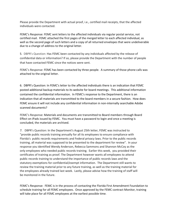Please provide the Department with actual proof, i.e., certified mail receipts, that the affected individuals were contacted.

FEMC's Response: FEMC sent letters to the affected individuals via regular postal service, not certified mail. FEMC attached the first pages of the merged letter to each affected individual, as well as the second page of such letters and a copy of all returned envelopes that were undeliverable due to a change of address to the original letter.

5. DBPR's Question: Has FEMC been contacted by any individuals affected by the release of confidential data or information? If so, please provide the Department with the number of people that have contacted FEMC since the notices were sent.

FEMC's Response: FEMC has been contacted by three people. A summary of those phone calls was attached to the original letter.

6. DBPR's Question: In FEMC's letter to the affected individuals there is an indication that FEMC posted additional backup materials to its website for board meetings. This additional information contained the confidential information. In FEMC's response to the Department, there is an indication that all materials are transmitted to the board members in a secure fashion. How does FEMC ensure it will not include any confidential information in non-internally searchable Adobe scanned documents?

FEMC's Response: Materials and documents are transmitted to Board members through Board Effect on iPads issued by FEMC. You must have a password to login and once a meeting is concluded, the materials are archived.

7. DBPR's Question: In the Department's August 25th letter, FEMC was instructed to "provide public records training annually for all its employees to ensure compliance with Florida's public records requirements and Federal privacy laws. Prior to the public records training, all material was supposed to be presented to the department for review". In your response you identified Wendy Anderson, Rebecca Sammons and Shannon McCoy as the only employees who needed public records training. Earlier this week, you provided their certificates of training as proof. The Department however wants all employees to attend public records training to understand the importance of public records laws and the statutory exemptions for confidential/exempt information. The Department still wants to review the training material prior to any future training, as well as the training material for the employees already trained last week. Lastly, please advise how the training of staff will be monitored in the future.

FEMC's Response: FEMC is in the process of contacting the Florida First Amendment Foundation to schedule training for all FEMC employees. Once approved by the FEMC contract Monitor, training will take place for all FEMC employees at the earliest possible time.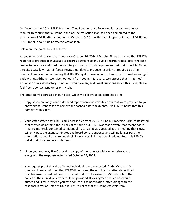On December 16, 2014, FEMC President Zana Raybon sent a follow-up letter to the contract monitor to confirm that all items in the Corrective Action Plan had been completed to the satisfaction of DBPR after a meeting on October 10, 2014 with several representatives of DBPR and FEMC to talk about said Corrective Action Plan.

Below are the points from the letter:

As you may recall, during the meeting on October 10, 2014, Mr. John Rimes explained that FEMC is required to produce all investigative records pursuant to any public records request after the case ceases to be active and cited the statutory authority for this requirement. At that time, Mr. Rimes also cited case law that reinforces FEMC's mandate to produce records not required by other Boards. It was our understanding that DBPR's legal counsel would follow up on this matter and get back with us. Although we have not heard from you in this regard, we suppose that Mr. Rimes' explanation was satisfactory. If not or if you have any additional questions about this issue, please feel free to contact Mr. Rimes or myself.

The other items addressed in our letter, which we believe to be completed are:

- 1. Copy of screen images and a detailed report from our website consultant were provided to you showing the steps taken to remove the cached data/documents. It is FEMC's belief that this completes this item.
- 2. Your letter stated that DBPR could access files from 2010. During our meeting, DBPR staff stated that they could not find those links at this time but FEMC was made aware that recent board meeting materials contained confidential materials. It was decided at the meeting that FEMC will only post the agenda, minutes and board correspondence and will no longer post the information about licensure and disciplinary cases. This has been implemented. It is FEMC's belief that this completes this item.
- 3. Upon your request, FEMC provided a copy of the contract with our website vendor along with the response letter dated October 13, 2014.
- 4. You request proof that the affected individuals were contacted. At the October 10 meeting, it was confirmed that FEMC did not send the notification letter via certified mail because we had not been instructed to do so. However, FEMC did confirm that copies of the individual letters could be provided. It was agreed that copies would suffice and FEMC provided you with copies of the notification letter, along with the response letter of October 13. It is FEMC's belief that this completes this item.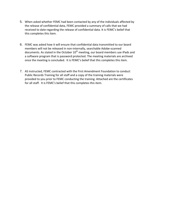- 5. When asked whether FEMC had been contacted by any of the individuals affected by the release of confidential data, FEMC provided a summary of calls that we had received to date regarding the release of confidential data. It is FEMC's belief that this completes this item.
- 6. FEMC was asked how it will ensure that confidential data transmitted to our board members will not be released in non-internally, searchable Adobe-scanned documents. As stated in the October  $10^{th}$  meeting, our board members use iPads and a software program that is password protected. The meeting materials are archived once the meeting is concluded. It is FEMC's belief that this completes this item.
- 7. AS instructed, FEMC contracted with the First Amendment Foundation to conduct Public Records Training for all staff and a copy of the training materials were provided to you prior to FEMC conducting the training. Attached are the certificates for all staff. It is FEMC's belief that this completes this item.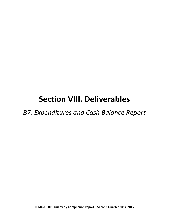### *B7. Expenditures and Cash Balance Report*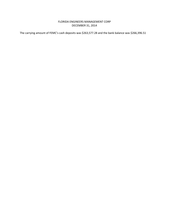#### FLORIDA ENGINEERS MANAGEMENT CORP DECEMBER 31, 2014

The carrying amount of FEMC's cash deposits was \$263,577.28 and the bank balance was \$266,396.51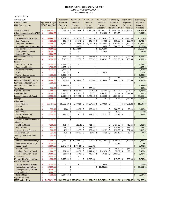#### FLORIDA ENGINEERS MANAGEMENT CORP CUMULATIVE DISBURSEMENTS DECEMBER 31, 2014

Accrual Basis

| Unaudited                            |    |                                                                                               |                     | Preliminary                  |         | Preliminary              |    | Preliminary     | Preliminary     |          | Preliminary             |         | Preliminary              |                     | Preliminary      |
|--------------------------------------|----|-----------------------------------------------------------------------------------------------|---------------------|------------------------------|---------|--------------------------|----|-----------------|-----------------|----------|-------------------------|---------|--------------------------|---------------------|------------------|
| <b>DISBURSEMENTS</b>                 |    | <b>Approved Budget</b>                                                                        |                     | Report of                    |         | Report of                |    | Report of       | Report of       |          | Report of               |         | Report of                |                     | Report of        |
| <b>FBPE Grants and Aid</b>           |    | 07/01/14-06/30/15                                                                             |                     | Expenses                     |         | <b>Expenses</b>          |    | <b>Expenses</b> | <b>Expenses</b> |          | <b>Expenses</b>         |         | Expenses                 |                     | Expenses         |
|                                      |    |                                                                                               |                     | July-14                      |         | August-14                |    | September-14    | October-14      |          | November-14 December-14 |         |                          |                     | <b>YTD Total</b> |
| Salary & Expenses                    | \$ | 1,434,364.00                                                                                  |                     | \$112,419.78                 | \$      | 65,125.86                | \$ | 74,110.36       | \$132,930.21    |          | \$72,907.56             |         | \$93,370.20              | \$                  | 550,863.97       |
| <b>Other Personnel Services(OPS)</b> | \$ | 10.000.00                                                                                     | \$                  |                              | \$      |                          |    |                 | \$<br>1,048.00  | \$       | 851.50                  |         |                          | \$                  | 1,899.50         |
| Consultants                          |    |                                                                                               |                     |                              |         |                          |    |                 |                 |          |                         |         |                          |                     |                  |
| <b>Prosecution/Enforcement</b>       | \$ | 146,000.00                                                                                    | \$                  | 4,701.84                     | \$      | 4,201.34                 | \$ | 13,976.19       | \$<br>13,751.65 | \$       | 8,125.00                | \$      | 20,795.05                | Ś                   | 65,551.07        |
| <b>Court Reporters</b>               | \$ | 5,000.00                                                                                      | \$                  | 240.00                       | \$      | 532.40                   | \$ | 240.00          | \$<br>390.00    | \$       | 160.00                  | \$      | 160.00                   | \$                  | 1,722.40         |
| <b>Computer Consultants</b>          | \$ | 65,000.00                                                                                     | \$                  | 4,634.73                     | \$      | 4,100.95                 | \$ | 4,024.70        | \$<br>29,153.58 | \$       | 2,768.67                | \$      | 3,170.18                 | \$                  | 47,852.81        |
| Human Resource Consultants           | \$ | 1,000.00                                                                                      | \$                  | $\sim$                       | \$      | 500.00                   |    |                 | \$<br>500.00    | -\$      | 780.00                  | \$      | 500.00                   | \$                  | 2,280.00         |
| <b>Accounting Services</b>           | \$ | 30,000.00                                                                                     | \$                  | ÷,                           | \$      | 16,142.00                |    |                 | \$<br>15,710.00 |          |                         |         |                          | \$                  | 31,852.00        |
| <b>FEMC General Counsel</b>          | \$ | 10,000.00                                                                                     | \$                  | ×.                           | \$      |                          |    |                 | \$<br>450.00    |          |                         |         |                          | \$                  | 450.00           |
| <b>Contract Monitor</b>              | \$ | 19,200.00                                                                                     | \$                  |                              | \$      |                          |    |                 |                 |          |                         |         |                          | \$                  |                  |
| <b>Employment/Training</b>           | \$ | 10,000.00                                                                                     | \$                  | 295.45                       | \$      | 50.00                    | \$ | 927.00          | \$<br>1,148.14  | \$       | 414.00                  | \$      | 2,027.89                 | \$                  | 4,862.48         |
| <b>Publications</b>                  | \$ | 6,000.00                                                                                      | \$                  | (237.57)                     | $\zeta$ | 227.30                   | \$ | 660.37          | \$<br>1,061.69  | \$       | 1,727.83                | \$      | 1,169.58                 | \$                  | 4,609.20         |
| Insurance                            |    |                                                                                               |                     |                              |         |                          |    |                 |                 |          |                         |         |                          |                     |                  |
| <b>Directors &amp; Officers</b>      | Ś  | 6,000.00                                                                                      | \$                  | 5,169.31                     | Ŝ.      |                          |    |                 |                 |          |                         |         |                          | \$                  | 5,169.31         |
| <b>Commercial Liability</b>          | \$ | 5,300.00                                                                                      | \$                  | 4,385.18                     | \$      | $\overline{\phantom{a}}$ |    |                 |                 |          |                         |         |                          | \$                  | 4,385.18         |
| <b>Professional Liability</b>        | \$ | 9,310.00                                                                                      | \$                  | 7,867.66                     | \$      | $\overline{\phantom{a}}$ |    |                 |                 |          |                         |         |                          | \$                  | 7,867.66         |
| Fidelity                             | Ś  |                                                                                               | \$                  | 110.93                       | \$      |                          |    |                 | \$<br>109.50    |          |                         |         |                          | \$                  | 220.43           |
| <b>Workers Compensation</b>          | \$ | 2,500.00                                                                                      | \$                  | 1,232.50                     | \$      | $\overline{\phantom{a}}$ |    |                 |                 |          |                         |         |                          | \$                  | 1,232.50         |
| <b>Public Information</b>            | \$ | 8,000.00                                                                                      | \$                  | 9,898.23                     | \$      | $\overline{a}$           |    |                 |                 | \$       | 27.25                   |         |                          | \$                  | 9,925.48         |
| <b>Board Member Honorarium</b>       | \$ | 10,000.00                                                                                     | \$                  | 800.00                       | \$      | 1,100.00                 | \$ | 150.00          | \$<br>1,200.00  | Ś        | 400.00                  | \$      | 900.00                   | \$                  | 4,550.00         |
| Furniture and Equipment *            | \$ | 1,000.00                                                                                      | \$                  |                              | \$      |                          |    |                 |                 |          |                         |         |                          | \$                  |                  |
| <b>Computers and Software</b>        | \$ |                                                                                               | \$                  | 4,625.00                     | \$      |                          |    |                 |                 |          |                         |         |                          | \$                  | 4,625.00         |
| <b>Study Guide</b>                   | \$ | 1,000.00                                                                                      | \$                  |                              | \$      | ÷,                       | \$ | 600.00          |                 |          |                         |         |                          | \$                  | 600.00           |
| Copying & Printing                   | \$ | 15,000.00                                                                                     | \$                  | 244.02                       | \$      | 1,086.64                 |    | 1657.71 \$      | 944.64          | \$       | 1,934.26                | \$      | 1,021.41                 | \$                  | 6,888.68         |
| <b>Office Supplies</b>               | \$ | 20,000.00                                                                                     | \$                  | 9,596.62                     | \$      | $1,375.25$ \$            |    | $(2.21)$ \$     | 1,051.42        | <b>S</b> | 793.82 \$               |         | 2,529.63                 | $\zeta$             | 15,344.53        |
| Leased Equipment & Repair            | \$ | 28,500.00                                                                                     | \$                  | 2,618.33                     | \$      | 2,749.50                 | \$ | 1,745.50 \$     | 2,663.00        | ا \$     | 1,889.00                | \$      |                          | \$                  | 11,665.33        |
| Postage                              | \$ | 10,000.00                                                                                     | \$                  | 19.99                        | \$      |                          |    |                 | \$<br>33.82     | \$       | 19.99                   | \$      | 2,737.92                 | $\zeta$             | 2,811.72         |
| <b>Office Space</b>                  |    |                                                                                               |                     |                              |         |                          |    |                 |                 |          |                         |         |                          | \$                  |                  |
| Lease Payment                        | \$ | 116,751.00                                                                                    | \$                  | 19,596.20                    | \$      | 9,798.10                 | \$ | 10,084.55       | \$<br>9,798.10  | \$       |                         | \$      | 10,371.00                | \$                  | 59,647.95        |
| <b>Utilities</b>                     | \$ |                                                                                               | \$                  |                              | \$      |                          |    |                 |                 |          |                         |         |                          | \$                  |                  |
| Janitorial                           | \$ | 900.00                                                                                        | \$                  | 50.00                        | \$      | $105.00$ \$              |    | $125.00$   \$   | ÷.              | \$       | 700.00 \$               |         | 50.00                    | \$                  | 1,030.00         |
| <b>Pest Control</b>                  | \$ | 300.00                                                                                        | \$                  |                              | \$      | 75.00                    |    |                 |                 | \$       | 75.00                   |         |                          | \$                  | 150.00           |
| <b>Security Monitoring</b>           | \$ | 4,500.00                                                                                      | \$                  | 845.14                       | \$      | $\overline{\phantom{a}}$ | \$ | 387.57          | \$<br>387.57    | \$       | 775.14 \$               |         | $\overline{\phantom{a}}$ | \$                  | 2,395.42         |
| <b>Moving Expenses</b>               | Ś  |                                                                                               | \$                  | ÷,                           | \$      |                          |    |                 |                 |          |                         |         |                          | \$                  |                  |
| Leasehold Improvements *             | \$ | 1,000.00                                                                                      | \$                  |                              | \$      | ä,                       |    |                 |                 |          |                         |         |                          | \$                  | $\overline{a}$   |
| <b>Felephone</b>                     |    |                                                                                               |                     |                              |         |                          |    |                 |                 |          |                         |         |                          |                     |                  |
| Local Line Charge                    | \$ | 7,500.00                                                                                      | \$                  | 451.48                       |         | 713.49 \$                |    | 711.46          |                 | \$       | $1,423.33$ \$           |         | 713.26                   | \$                  | 4,013.02         |
| Long Distance                        | \$ | 1,800.00                                                                                      | \$                  | 89.77                        | \$      | 182.10                   | \$ | 153.36          |                 | \$       | $325.22$ \$             |         | 115.73                   | $\ddot{\mathsf{S}}$ | 866.18           |
| <b>Internet Access Charges</b>       | \$ | 1,800.00                                                                                      | \$                  | 42.21                        | \$      | 199.93                   | \$ | 382.85          | \$<br>292.89    | Ś        | 292.89                  | $\zeta$ | 307.39                   | $\zeta$             | 1,518.16         |
| <b>Conference Calls</b>              | \$ | 300.00                                                                                        | \$                  | 86.57                        | \$      | 107.82                   | \$ | 89.06           | \$<br>97.68     | \$       | $181.19$ \$             |         | 35.44                    | \$                  | 597.76           |
| <b>Training - Board Members</b>      | \$ | 750.00                                                                                        | \$                  |                              |         |                          |    |                 |                 |          |                         |         |                          | \$                  |                  |
| Travel                               |    |                                                                                               |                     |                              |         |                          |    |                 |                 |          |                         |         |                          |                     |                  |
| <b>Board/Committee Meetings</b>      | \$ | 65,000.00                                                                                     | \$                  | $1,933.75$ \$                |         | 10,589.87 \$             |    | $906.64$ \$     | $11,553.54$ \$  |          | $3,350.03$ \$           |         | $4,100.33$ \$            |                     | 32,434.16        |
| Investigation/Prosecution            | \$ | $5,000.00$ \$                                                                                 |                     | ÷,                           | \$      | $\overline{\phantom{a}}$ |    |                 |                 | \$       | 73.47                   |         |                          | \$                  | 73.47            |
| <b>NCEES Travel</b>                  | \$ | 12,000.00 \$                                                                                  |                     | 2,076.00                     | \$      | 1,035.80 \$              |    | 4,880.72        |                 |          |                         |         |                          | \$                  | 7,992.52         |
| <b>General Travel</b>                | \$ | 2,000.00                                                                                      | \$                  |                              | \$      | 70.31                    | 5  | 230.96          |                 | \$       | 149.40 \$               |         | $(39.75)$ \$             |                     | 410.92           |
| <b>Employee Training Travel</b>      | \$ | 12,000.00                                                                                     | \$                  | 681.94                       | \$      | 189.00 \$                |    | $2,147.82$ \$   | 2,329.30 \$     |          | $32.25$ \$              |         | 99.12                    | \$                  | 5,479.43         |
| <b>Public Information Travel</b>     | \$ | 10,000.00                                                                                     | \$                  | 114.00                       | \$      | 413.40                   | \$ | 749.56 \$       | 105.55          | \$       | 1,605.06                |         |                          | \$                  | 2,987.57         |
| <b>NCEES Dues</b>                    | \$ | $6,500.00$ \$                                                                                 |                     | $\overline{\phantom{a}}$     | \$      | $\overline{\phantom{a}}$ |    |                 |                 |          |                         |         |                          | \$                  | $\sim$           |
| Memberships/Registrations            | \$ | 4,000.00                                                                                      | \$                  | 3,550.00                     | \$      | $\blacksquare$           | \$ | 3,243.00        |                 | \$       | $217.00$ \$             |         | 786.00                   | \$                  | 7,796.00         |
| <b>Renewal Activites</b>             |    |                                                                                               |                     |                              |         |                          |    |                 |                 |          |                         |         |                          |                     |                  |
| <b>Printing Renewal Notices</b>      | \$ | 5,600.00                                                                                      | \$                  | $\qquad \qquad \blacksquare$ | \$      | $\overline{\phantom{a}}$ |    |                 | \$<br>5,209.00  |          |                         |         |                          | \$                  | 5,209.00         |
| <b>Mailing Renewal Notices</b>       | \$ | 20,000.00                                                                                     | $\ddot{\mathsf{S}}$ | $\overline{\phantom{a}}$     | \$      |                          |    |                 | \$<br>11,821.22 |          |                         |         |                          | \$                  | 11,821.22        |
| <b>Mailing Licenses/ID Cards</b>     | \$ | 10,000.00                                                                                     | \$                  | $\overline{\phantom{a}}$     | \$      | $\overline{\phantom{a}}$ |    |                 |                 |          |                         |         |                          | \$                  | $\sim$           |
| <b>Renewal OPS</b>                   | \$ | 25,000.00 \$                                                                                  |                     | $\blacksquare$               | \$      | $\overline{\phantom{a}}$ |    |                 |                 |          |                         |         |                          | \$                  |                  |
| <b>Renewal Supplies</b>              | \$ | 5,000.00                                                                                      | \$                  | 7,147.28                     | \$      | $\sim$                   |    |                 |                 |          |                         |         |                          | \$                  | 7,147.28         |
| <b>Legal Settlements</b>             | \$ |                                                                                               |                     |                              |         |                          |    |                 |                 |          |                         |         |                          | \$                  |                  |
| <b>FEMC Budget Total</b>             | Ś  | 2,170,875.00 \$205,286.34 \$120,671.06 \$122,182.17 \$243,740.50 \$101,998.86 \$144,920.38 \$ |                     |                              |         |                          |    |                 |                 |          |                         |         |                          |                     | 938,799.31       |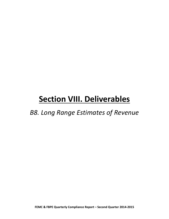### *B8. Long Range Estimates of Revenue*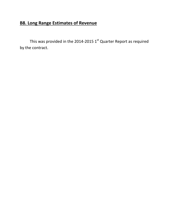### **B8. Long Range Estimates of Revenue**

This was provided in the 2014-2015  $1<sup>st</sup>$  Quarter Report as required by the contract.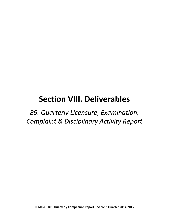*B9. Quarterly Licensure, Examination, Complaint & Disciplinary Activity Report*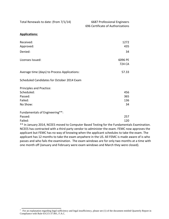Total Renewals to date: (from 7/1/14) 6687 Professional Engineers

696 Certificate of Authorizations

#### **Applications:**

| Received:<br>Approved:                       | 1272<br>435       |
|----------------------------------------------|-------------------|
| Denied:                                      | 34                |
| Licenses Issued:                             | 6096 PE<br>724 CA |
| Average time (days) to Process Applications: | 57.33             |
| Scheduled Candidates for October 2014 Exam   |                   |
| Principles and Practice:                     |                   |
| Scheduled:                                   | 456               |
| Passed:                                      | 365               |
| Failed:                                      | 136               |
| No Show:                                     | 34                |
| Fundamentals of Engineering**:               |                   |
| Passed:                                      | 257               |
| Failed:                                      | 120               |

\*\* In January 2014, NCEES moved to Computer Based Testing for the Fundamentals Examination. NCEES has contracted with a third party vendor to administer the exam. FEMC now approves the applicant but FEMC has no way of knowing when the applicant schedules to take the exam. The applicant has 12 months to take the exam anywhere in the US. All FEMC is made aware of is who passes and who fails the examination. The exam windows are for only two months at a time with one month off (January and February were exam windows and March they were closed).

<sup>&</sup>lt;sup>1</sup> For an explanation regarding legal sufficiency and legal insufficiency, please see (1) of the document entitled Quarterly Report in Compliance with Rule 61G15-37.001, F.A.C.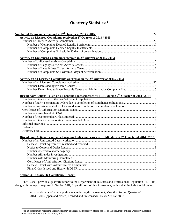#### **Quarterly Statistics:\***

| Activity on Licensed Complaints received in 1 <sup>st</sup> Quarter of 2014 / 2015:<br>Activity on Unlicensed Complaints received in 2 <sup>nd</sup> Quarter of 2014 / 2015:<br>Activity on all Licensed Complaints worked on in the 2 <sup>nd</sup> Quarter of 2014 / 2015:<br>Disciplinary Actions Taken on all pending Licensed cases by FBPE during $2^{nd}$ Quarter of 2014 / 2015: |
|------------------------------------------------------------------------------------------------------------------------------------------------------------------------------------------------------------------------------------------------------------------------------------------------------------------------------------------------------------------------------------------|
|                                                                                                                                                                                                                                                                                                                                                                                          |
|                                                                                                                                                                                                                                                                                                                                                                                          |
|                                                                                                                                                                                                                                                                                                                                                                                          |
|                                                                                                                                                                                                                                                                                                                                                                                          |
|                                                                                                                                                                                                                                                                                                                                                                                          |
|                                                                                                                                                                                                                                                                                                                                                                                          |
|                                                                                                                                                                                                                                                                                                                                                                                          |
|                                                                                                                                                                                                                                                                                                                                                                                          |
|                                                                                                                                                                                                                                                                                                                                                                                          |
|                                                                                                                                                                                                                                                                                                                                                                                          |
|                                                                                                                                                                                                                                                                                                                                                                                          |
|                                                                                                                                                                                                                                                                                                                                                                                          |
|                                                                                                                                                                                                                                                                                                                                                                                          |
|                                                                                                                                                                                                                                                                                                                                                                                          |
|                                                                                                                                                                                                                                                                                                                                                                                          |
|                                                                                                                                                                                                                                                                                                                                                                                          |
|                                                                                                                                                                                                                                                                                                                                                                                          |
|                                                                                                                                                                                                                                                                                                                                                                                          |
|                                                                                                                                                                                                                                                                                                                                                                                          |
|                                                                                                                                                                                                                                                                                                                                                                                          |
|                                                                                                                                                                                                                                                                                                                                                                                          |
|                                                                                                                                                                                                                                                                                                                                                                                          |
|                                                                                                                                                                                                                                                                                                                                                                                          |
|                                                                                                                                                                                                                                                                                                                                                                                          |
|                                                                                                                                                                                                                                                                                                                                                                                          |
| Disciplinary Actions Taken on all pending Unlicensed cases by FEMC during 2 <sup>nd</sup> Quarter of 2014 / 2015:                                                                                                                                                                                                                                                                        |
|                                                                                                                                                                                                                                                                                                                                                                                          |
|                                                                                                                                                                                                                                                                                                                                                                                          |
|                                                                                                                                                                                                                                                                                                                                                                                          |
|                                                                                                                                                                                                                                                                                                                                                                                          |
|                                                                                                                                                                                                                                                                                                                                                                                          |
|                                                                                                                                                                                                                                                                                                                                                                                          |
|                                                                                                                                                                                                                                                                                                                                                                                          |
|                                                                                                                                                                                                                                                                                                                                                                                          |
|                                                                                                                                                                                                                                                                                                                                                                                          |

#### **Section XII Quarterly Compliance Report:**

FEMC shall provide a quarterly report to the Department of Business and Professional Regulation ("DBPR") along with the report required in Section VIII, Expenditures, of this Agreement, which shall include the following:

> A list and status of all complaints made during this agreement, a/k/a this Second Quarter of 2014 – 2015 (open and closed, licensed and unlicensed). Please See Tab "B3."

<sup>&</sup>lt;sup>1</sup> For an explanation regarding legal sufficiency and legal insufficiency, please see (1) of the document entitled Quarterly Report in Compliance with Rule 61G15-37.001, F.A.C.